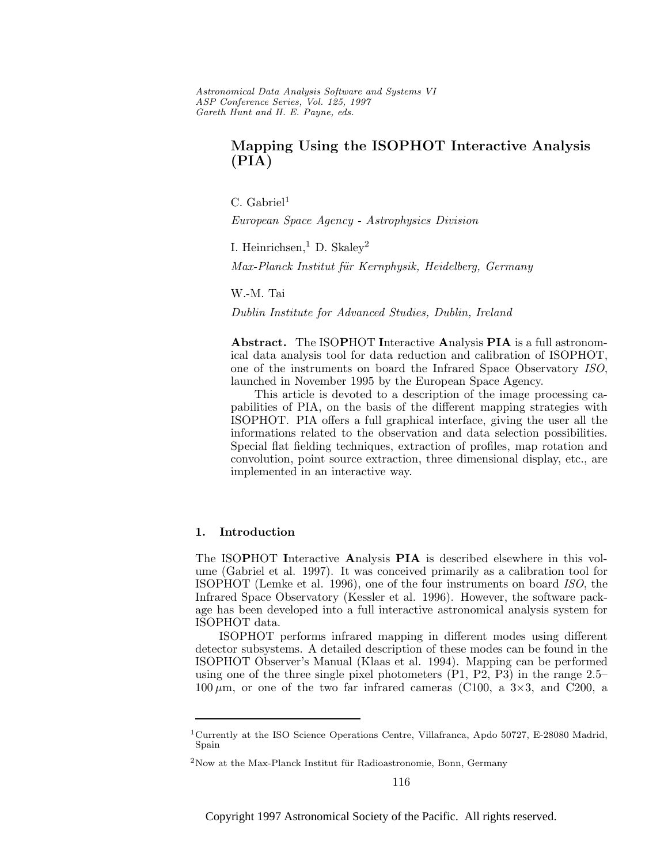Astronomical Data Analysis Software and Systems VI ASP Conference Series, Vol. 125, 1997 Gareth Hunt and H. E. Payne, e ds.

# **Mapping Using the ISOPHOT Interactive Analysis (PIA)**

 $C.$  Gabriel<sup>1</sup>

European Space Agency - Astrophysics Division

I. Heinrichsen, <sup>1</sup> D. Skaley<sup>2</sup>

Max-Planck Institut für Kernphysik, Heidelberg, Germany

W.-M. Tai

Dublin Institute for Advanced Studies, Dublin, Ireland

**Abstract.** The ISO**P**HOT **I**nteractive **A**nalysis **PIA** is a full astronomical data analysis tool for data reduction and calibration of ISOPHOT, one of the instruments on board the Infrared Space Observatory ISO, launched in November 1995 by the European Space Agency.

This article is devoted to a description of the image processing capabilities of PIA, on the basis of the different mapping strategies with ISOPHOT. PIA offers a full graphical interface, giving the user all the informations related to the observation and data selection possibilities. Special flat fielding techniques, extraction of profiles, map rotation and convolution, point source extraction, three dimensional display, etc., are implemented in an interactive way.

#### **1. Introduction**

The ISO**P**HOT **I**nteractive **A**nalysis **PIA** is described elsewhere in this volume (Gabriel et al. 1997). It was conceived primarily as a calibration tool for ISOPHOT (Lemke et al. 1996), one of the four instruments on board ISO, the Infrared Space Observatory (Kessler et al. 1996). However, the software package has been developed into a full interactive astronomical analysis system for ISOPHOT data.

ISOPHOT performs infrared mapping in different modes using different detector subsystems. A detailed description of these modes can be found in the ISOPHOT Observer's Manual (Klaas et al. 1994). Mapping can be performed using one of the three single pixel photometers (P1, P2, P3) in the range 2.5–  $100 \mu m$ , or one of the two far infrared cameras (C100, a  $3\times3$ , and C200, a

<sup>&</sup>lt;sup>1</sup>Currently at the ISO Science Operations Centre, Villafranca, Apdo 50727, E-28080 Madrid, Spain

 $2$ Now at the Max-Planck Institut für Radioastronomie, Bonn, Germany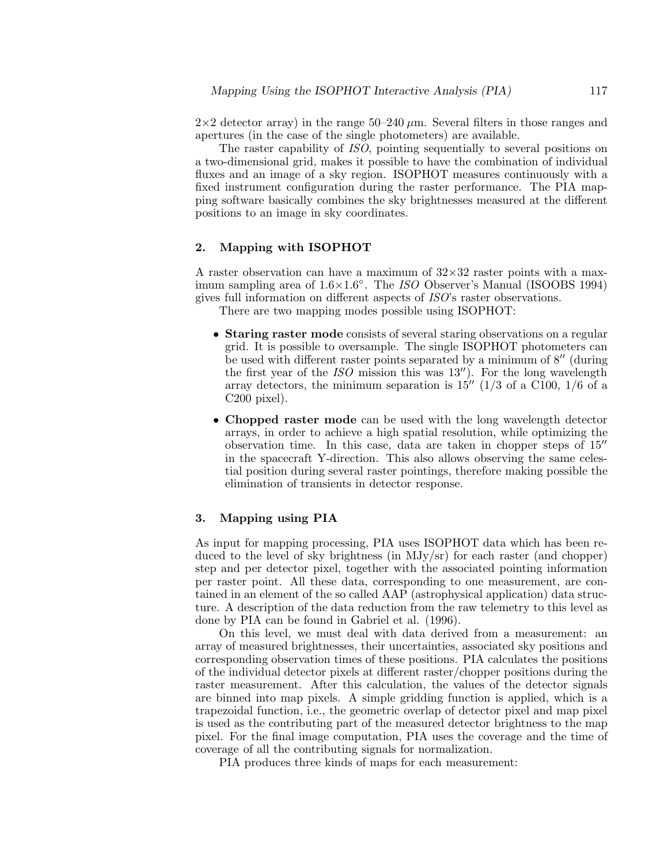$2\times2$  detector array) in the range  $50-240 \ \mu \text{m}$ . Several filters in those ranges and apertures (in the case of the single photometers) are available.

The raster capability of ISO, pointing sequentially to several positions on a two-dimensional grid, makes it possible to have the combination of individual fluxes and an image of a sky region. ISOPHOT measures continuously with a fixed instrument configuration during the raster performance. The PIA mapping software basically combines the sky brightnesses measured at the different positions to an image in sky coordinates.

### **2. Mapping with ISOPHOT**

A raster observation can have a maximum of  $32\times32$  raster points with a maximum sampling area of  $1.6 \times 1.6$ °. The *ISO* Observer's Manual (ISOOBS 1994) gives full information on different aspects of ISO's raster observations.

There are two mapping modes possible using ISOPHOT:

- **Staring raster mode** consists of several staring observations on a regular grid. It is possible to oversample. The single ISOPHOT photometers can be used with different raster points separated by a minimum of  $8''$  (during the first year of the  $ISO$  mission this was  $13''$ ). For the long wavelength array detectors, the minimum separation is  $15''$  (1/3 of a C100, 1/6 of a C200 pixel).
- **Chopped raster mode** can be used with the long wavelength detector arrays, in order to achieve a high spatial resolution, while optimizing the observation time. In this case, data are taken in chopper steps of  $15<sup>''</sup>$ in the spacecraft Y-direction. This also allows observing the same celestial position during several raster pointings, therefore making possible the elimination of transients in detector response.

### **3. Mapping using PIA**

As input for mapping processing, PIA uses ISOPHOT data which has been reduced to the level of sky brightness (in MJy/sr) for each raster (and chopper) step and per detector pixel, together with the associated pointing information per raster point. All these data, corresponding to one measurement, are contained in an element of the so called AAP (astrophysical application) data structure. A description of the data reduction from the raw telemetry to this level as done by PIA can be found in Gabriel et al. (1996).

On this level, we must deal with data derived from a measurement: an array of measured brightnesses, their uncertainties, associated sky positions and corresponding observation times of these positions. PIA calculates the positions of the individual detector pixels at different raster/chopper positions during the raster measurement. After this calculation, the values of the detector signals are binned into map pixels. A simple gridding function is applied, which is a trapezoidal function, i.e., the geometric overlap of detector pixel and map pixel is used as the contributing part of the measured detector brightness to the map pixel. For the final image computation, PIA uses the coverage and the time of coverage of all the contributing signals for normalization.

PIA produces three kinds of maps for each measurement: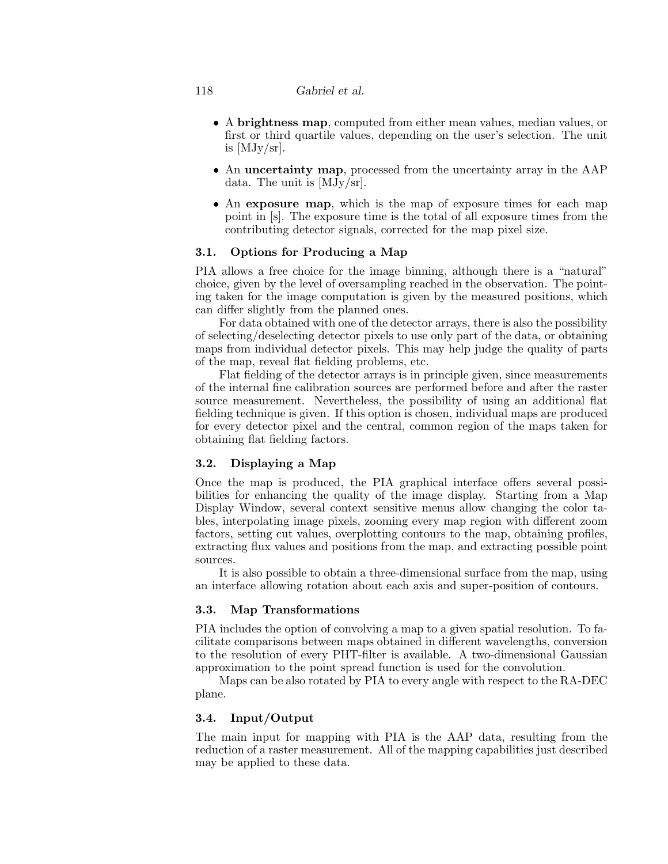### 118 *Gabriel et al.*

- A **brightness map**, computed from either mean values, median values, or first or third quartile values, depending on the user's selection. The unit is  $[MJy/sr]$ .
- An **uncertainty map**, processed from the uncertainty array in the AAP data. The unit is [MJy/sr].
- An **exposure map**, which is the map of exposure times for each map point in [s]. The exposure time is the total of all exposure times from the contributing detector signals, corrected for the map pixel size.

# **3.1. Options for Producing a Map**

PIA allows a free choice for the image binning, although there is a "natural" choice, given by the level of oversampling reached in the observation. The pointing taken for the image computation is given by the measured positions, which can differ slightly from the planned ones.

For data obtained with one of the detector arrays, there is also the possibility of selecting/deselecting detector pixels to use only part of the data, or obtaining maps from individual detector pixels. This may help judge the quality of parts of the map, reveal flat fielding problems, etc.

Flat fielding of the detector arrays is in principle given, since measurements of the internal fine calibration sources are performed before and after the raster source measurement. Nevertheless, the possibility of using an additional flat fielding technique is given. If this option is chosen, individual maps are produced for every detector pixel and the central, common region of the maps taken for obtaining flat fielding factors.

# **3.2. Displaying a Map**

Once the map is produced, the PIA graphical interface offers several possibilities for enhancing the quality of the image display. Starting from a Map Display Window, several context sensitive menus allow changing the color tables, interpolating image pixels, zooming every map region with different zoom factors, setting cut values, overplotting contours to the map, obtaining profiles, extracting flux values and positions from the map, and extracting possible point sources.

It is also possible to obtain a three-dimensional surface from the map, using an interface allowing rotation about each axis and super-position of contours.

### **3.3. Map Transformations**

PIA includes the option of convolving a map to a given spatial resolution. To facilitate comparisons between maps obtained in different wavelengths, conversion to the resolution of every PHT-filter is available. A two-dimensional Gaussian approximation to the point spread function is used for the convolution.

Maps can be also rotated by PIA to every angle with respect to the RA-DEC plane.

# **3.4. Input/Output**

The main input for mapping with PIA is the AAP data, resulting from the reduction of a raster measurement. All of the mapping capabilities just described may be applied to these data.